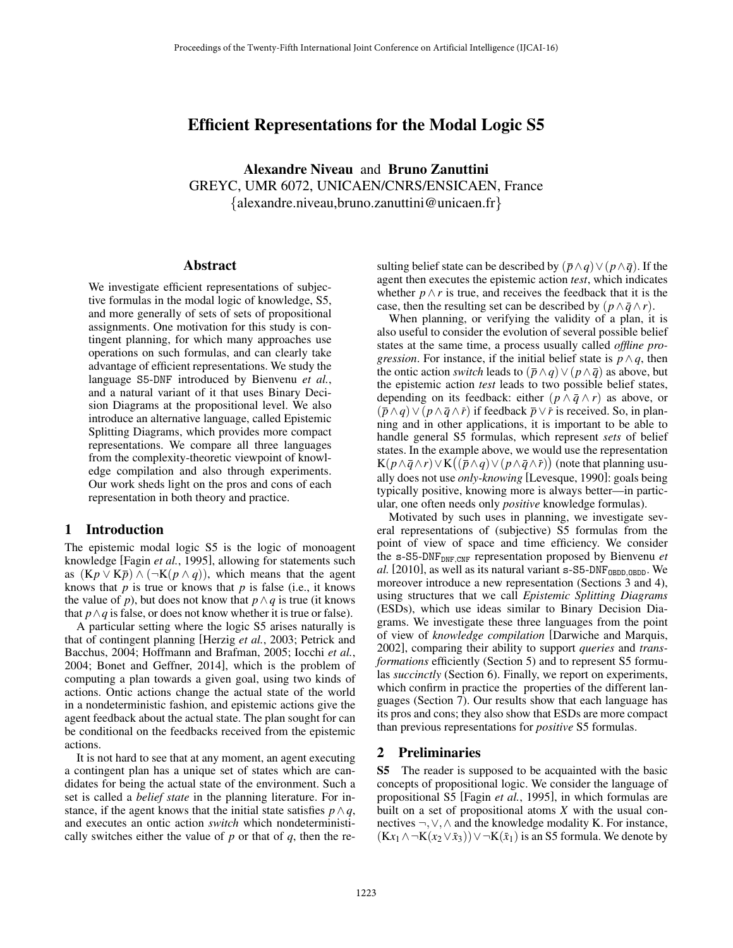# Efficient Representations for the Modal Logic S5

Alexandre Niveau and Bruno Zanuttini GREYC, UMR 6072, UNICAEN/CNRS/ENSICAEN, France *{*alexandre.niveau,bruno.zanuttini@unicaen.fr*}*

#### Abstract

We investigate efficient representations of subjective formulas in the modal logic of knowledge, S5, and more generally of sets of sets of propositional assignments. One motivation for this study is contingent planning, for which many approaches use operations on such formulas, and can clearly take advantage of efficient representations. We study the language S5-DNF introduced by Bienvenu *et al.*, and a natural variant of it that uses Binary Decision Diagrams at the propositional level. We also introduce an alternative language, called Epistemic Splitting Diagrams, which provides more compact representations. We compare all three languages from the complexity-theoretic viewpoint of knowledge compilation and also through experiments. Our work sheds light on the pros and cons of each representation in both theory and practice.

#### 1 Introduction

The epistemic modal logic S5 is the logic of monoagent knowledge [Fagin *et al.*, 1995], allowing for statements such as  $(Kp \vee K\bar{p}) \wedge (\neg K(p \wedge q))$ , which means that the agent knows that *p* is true or knows that *p* is false (i.e., it knows the value of *p*), but does not know that  $p \wedge q$  is true (it knows that  $p \wedge q$  is false, or does not know whether it is true or false).

A particular setting where the logic S5 arises naturally is that of contingent planning [Herzig *et al.*, 2003; Petrick and Bacchus, 2004; Hoffmann and Brafman, 2005; Iocchi *et al.*, 2004; Bonet and Geffner, 2014], which is the problem of computing a plan towards a given goal, using two kinds of actions. Ontic actions change the actual state of the world in a nondeterministic fashion, and epistemic actions give the agent feedback about the actual state. The plan sought for can be conditional on the feedbacks received from the epistemic actions.

It is not hard to see that at any moment, an agent executing a contingent plan has a unique set of states which are candidates for being the actual state of the environment. Such a set is called a *belief state* in the planning literature. For instance, if the agent knows that the initial state satisfies  $p \wedge q$ , and executes an ontic action *switch* which nondeterministically switches either the value of *p* or that of *q*, then the resulting belief state can be described by  $(\bar{p} \wedge q) \vee (p \wedge \bar{q})$ . If the agent then executes the epistemic action *test*, which indicates whether  $p \wedge r$  is true, and receives the feedback that it is the case, then the resulting set can be described by  $(p \wedge \bar{q} \wedge r)$ .

When planning, or verifying the validity of a plan, it is also useful to consider the evolution of several possible belief states at the same time, a process usually called *offline progression*. For instance, if the initial belief state is  $p \wedge q$ , then the ontic action *switch* leads to  $(\bar{p} \wedge q) \vee (p \wedge \bar{q})$  as above, but the epistemic action *test* leads to two possible belief states, depending on its feedback: either  $(p \wedge \overline{q} \wedge r)$  as above, or  $(\bar{p} \wedge q) \vee (p \wedge \bar{q} \wedge \bar{r})$  if feedback  $\bar{p} \vee \bar{r}$  is received. So, in planning and in other applications, it is important to be able to handle general S5 formulas, which represent *sets* of belief states. In the example above, we would use the representation  $K(p\wedge\bar{q}\wedge r)\vee K\big((\bar{\bar{p}}\wedge q)\vee(\bar{p}\wedge\bar{q}\wedge\bar{r})\big)$  (note that planning usually does not use *only-knowing* [Levesque, 1990]: goals being typically positive, knowing more is always better—in particular, one often needs only *positive* knowledge formulas).

Motivated by such uses in planning, we investigate several representations of (subjective) S5 formulas from the point of view of space and time efficiency. We consider the s-S5-DNFDNF*,*CNF representation proposed by Bienvenu *et al.* [2010], as well as its natural variant s-S5-DNFOBDD*,*OBDD. We moreover introduce a new representation (Sections 3 and 4), using structures that we call *Epistemic Splitting Diagrams* (ESDs), which use ideas similar to Binary Decision Diagrams. We investigate these three languages from the point of view of *knowledge compilation* [Darwiche and Marquis, 2002], comparing their ability to support *queries* and *transformations* efficiently (Section 5) and to represent S5 formulas *succinctly* (Section 6). Finally, we report on experiments, which confirm in practice the properties of the different languages (Section 7). Our results show that each language has its pros and cons; they also show that ESDs are more compact than previous representations for *positive* S5 formulas.

## 2 Preliminaries

S5 The reader is supposed to be acquainted with the basic concepts of propositional logic. We consider the language of propositional S5 [Fagin *et al.*, 1995], in which formulas are built on a set of propositional atoms *X* with the usual connectives  $\neg, \vee, \wedge$  and the knowledge modality K. For instance,  $(Kx_1 \wedge \neg K(x_2 \vee \bar{x}_3)) \vee \neg K(\bar{x}_1)$  is an S5 formula. We denote by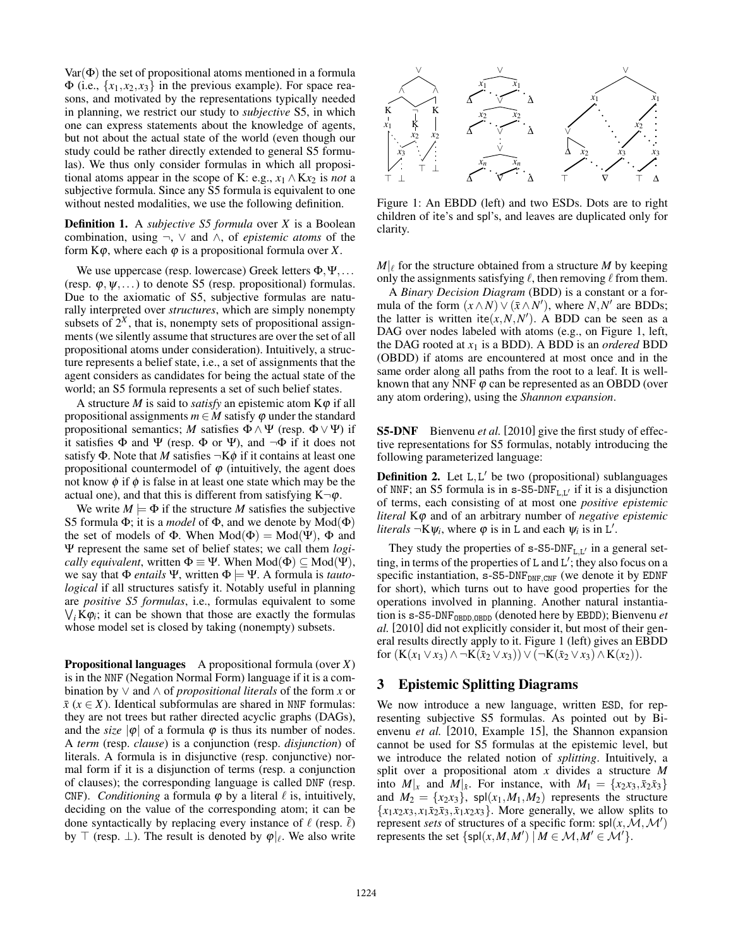$Var(\Phi)$  the set of propositional atoms mentioned in a formula  $\Phi$  (i.e.,  $\{x_1, x_2, x_3\}$  in the previous example). For space reasons, and motivated by the representations typically needed in planning, we restrict our study to *subjective* S5, in which one can express statements about the knowledge of agents, but not about the actual state of the world (even though our study could be rather directly extended to general S5 formulas). We thus only consider formulas in which all propositional atoms appear in the scope of K: e.g.,  $x_1 \wedge Kx_2$  is *not* a subjective formula. Since any S5 formula is equivalent to one without nested modalities, we use the following definition.

Definition 1. A *subjective S5 formula* over *X* is a Boolean combination, using  $\neg$ ,  $\vee$  and  $\wedge$ , of *epistemic atoms* of the form  $K\varphi$ , where each  $\varphi$  is a propositional formula over *X*.

We use uppercase (resp. lowercase) Greek letters  $\Phi, \Psi, \ldots$ (resp.  $\varphi, \psi, \ldots$ ) to denote S5 (resp. propositional) formulas. Due to the axiomatic of S5, subjective formulas are naturally interpreted over *structures*, which are simply nonempty subsets of  $2<sup>X</sup>$ , that is, nonempty sets of propositional assignments (we silently assume that structures are over the set of all propositional atoms under consideration). Intuitively, a structure represents a belief state, i.e., a set of assignments that the agent considers as candidates for being the actual state of the world; an S5 formula represents a set of such belief states.

A structure *M* is said to *satisfy* an epistemic atom  $K\varphi$  if all propositional assignments  $m \in M$  satisfy  $\varphi$  under the standard propositional semantics; *M* satisfies  $\Phi \wedge \Psi$  (resp.  $\Phi \vee \Psi$ ) if it satisfies  $\Phi$  and  $\Psi$  (resp.  $\Phi$  or  $\Psi$ ), and  $\neg \Phi$  if it does not satisfy  $\Phi$ . Note that *M* satisfies  $\neg K\phi$  if it contains at least one propositional countermodel of  $\varphi$  (intuitively, the agent does not know  $\phi$  if  $\phi$  is false in at least one state which may be the actual one), and that this is different from satisfying  $K\neg\varphi$ .

We write  $M \models \Phi$  if the structure M satisfies the subjective S5 formula  $\Phi$ ; it is a *model* of  $\Phi$ , and we denote by Mod( $\Phi$ ) the set of models of  $\Phi$ . When  $Mod(\Phi) = Mod(\Psi)$ ,  $\Phi$  and Y represent the same set of belief states; we call them *logically equivalent*, written  $\Phi \equiv \Psi$ . When  $Mod(\Phi) \subset Mod(\Psi)$ , we say that  $\Phi$  *entails*  $\Psi$ , written  $\Phi \models \Psi$ . A formula is *tautological* if all structures satisfy it. Notably useful in planning are *positive S5 formulas*, i.e., formulas equivalent to some  $\bigvee_i K \varphi_i$ ; it can be shown that those are exactly the formulas whose model set is closed by taking (nonempty) subsets.

Propositional languages A propositional formula (over *X*) is in the NNF (Negation Normal Form) language if it is a combination by  $\vee$  and  $\wedge$  of *propositional literals* of the form *x* or  $\bar{x}$  ( $x \in X$ ). Identical subformulas are shared in NNF formulas: they are not trees but rather directed acyclic graphs (DAGs), and the *size*  $|\varphi|$  of a formula  $\varphi$  is thus its number of nodes. A *term* (resp. *clause*) is a conjunction (resp. *disjunction*) of literals. A formula is in disjunctive (resp. conjunctive) normal form if it is a disjunction of terms (resp. a conjunction of clauses); the corresponding language is called DNF (resp. CNF). *Conditioning* a formula  $\varphi$  by a literal  $\ell$  is, intuitively, deciding on the value of the corresponding atom; it can be done syntactically by replacing every instance of  $\ell$  (resp.  $\bar{\ell}$ ) by  $\top$  (resp.  $\bot$ ). The result is denoted by  $\varphi|_{\ell}$ . We also write



Figure 1: An EBDD (left) and two ESDs. Dots are to right children of ite's and spl's, and leaves are duplicated only for clarity.

 $M|_{\ell}$  for the structure obtained from a structure *M* by keeping only the assignments satisfying  $\ell$ , then removing  $\ell$  from them.

A *Binary Decision Diagram* (BDD) is a constant or a formula of the form  $(x \wedge N) \vee (\overline{x} \wedge N')$ , where *N,N'* are BDDs; the latter is written ite $(x, N, N')$ . A BDD can be seen as a DAG over nodes labeled with atoms (e.g., on Figure 1, left, the DAG rooted at  $x_1$  is a BDD). A BDD is an *ordered* BDD (OBDD) if atoms are encountered at most once and in the same order along all paths from the root to a leaf. It is wellknown that any NNF  $\varphi$  can be represented as an OBDD (over any atom ordering), using the *Shannon expansion*.

S5-DNF Bienvenu *et al.* [2010] give the first study of effective representations for S5 formulas, notably introducing the following parameterized language:

**Definition 2.** Let  $L, L'$  be two (propositional) sublanguages of NNF; an S5 formula is in  $s$ -S5-DNF<sub>LI</sub>, if it is a disjunction of terms, each consisting of at most one *positive epistemic literal* K $\varphi$  and of an arbitrary number of *negative epistemic literals*  $\neg K \psi_i$ , where  $\varphi$  is in L and each  $\psi_i$  is in L'.

They study the properties of  $s$ -S5-DNF<sub>L,L</sub> $\theta$  in a general setting, in terms of the properties of L and L'; they also focus on a specific instantiation, s-S5-DNF<sub>DNF,CNF</sub> (we denote it by EDNF for short), which turns out to have good properties for the operations involved in planning. Another natural instantiation is s-S5-DNF<sub>OBDD</sub>, OBDD</sub> (denoted here by EBDD); Bienvenu *et al.* [2010] did not explicitly consider it, but most of their general results directly apply to it. Figure 1 (left) gives an EBDD for  $(K(x_1 \vee x_3) \wedge \neg K(\bar{x}_2 \vee x_3)) \vee (\neg K(\bar{x}_2 \vee x_3) \wedge K(x_2)).$ 

# 3 Epistemic Splitting Diagrams

We now introduce a new language, written ESD, for representing subjective S5 formulas. As pointed out by Bienvenu *et al.* [2010, Example 15], the Shannon expansion cannot be used for S5 formulas at the epistemic level, but we introduce the related notion of *splitting*. Intuitively, a split over a propositional atom *x* divides a structure *M* into  $M|_{x}$  and  $M|_{\bar{x}}$ . For instance, with  $M_1 = \{x_2x_3, \bar{x}_2\bar{x}_3\}$ and  $M_2 = \{x_2x_3\}$ , spl $(x_1, M_1, M_2)$  represents the structure  ${x_1x_2x_3, x_1\overline{x_2x_3, \overline{x_1x_2x_3}}$ . More generally, we allow splits to represent *sets* of structures of a specific form:  $\mathsf{spl}(x, \mathcal{M}, \mathcal{M}')$ represents the set  $\{spl(x, M, M') \mid M \in \mathcal{M}, M' \in \mathcal{M}'\}.$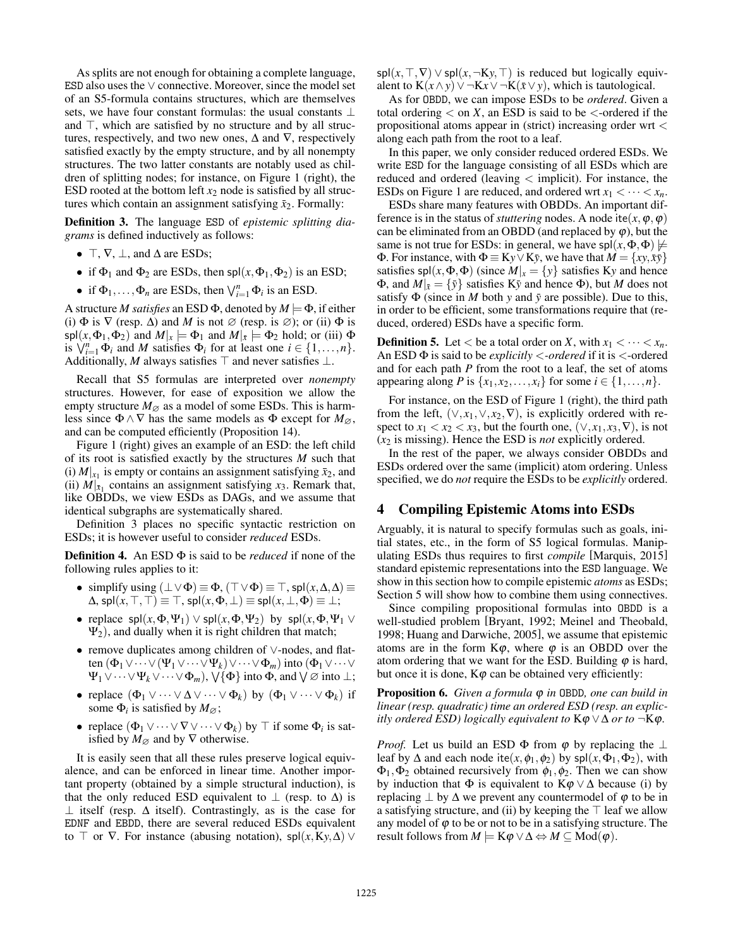As splits are not enough for obtaining a complete language, ESD also uses the  $\vee$  connective. Moreover, since the model set of an S5-formula contains structures, which are themselves sets, we have four constant formulas: the usual constants  $\perp$ and  $\top$ , which are satisfied by no structure and by all structures, respectively, and two new ones,  $\Delta$  and  $\nabla$ , respectively satisfied exactly by the empty structure, and by all nonempty structures. The two latter constants are notably used as children of splitting nodes; for instance, on Figure 1 (right), the ESD rooted at the bottom left  $x_2$  node is satisfied by all structures which contain an assignment satisfying  $\bar{x}_2$ . Formally:

Definition 3. The language ESD of *epistemic splitting diagrams* is defined inductively as follows:

- $\top$ ,  $\nabla$ ,  $\bot$ , and  $\Delta$  are ESDs;
- if  $\Phi_1$  and  $\Phi_2$  are ESDs, then spl $(x, \Phi_1, \Phi_2)$  is an ESD;
- if  $\Phi_1, \ldots, \Phi_n$  are ESDs, then  $\bigvee_{i=1}^n \Phi_i$  is an ESD.

A structure *M satisfies* an ESD  $\Phi$ , denoted by  $M \models \Phi$ , if either (i)  $\Phi$  is  $\nabla$  (resp.  $\Delta$ ) and *M* is not  $\varnothing$  (resp. is  $\varnothing$ ); or (ii)  $\Phi$  is  $\mathsf{spl}(x, \Phi_1, \Phi_2)$  and  $M|_x \models \Phi_1$  and  $M|_{\bar{x}} \models \Phi_2$  hold; or (iii)  $\Phi$ is  $\bigvee_{i=1}^{n} \Phi_i$  and *M* satisfies  $\Phi_i$  for at least one  $i \in \{1, ..., n\}$ . Additionally, *M* always satisfies  $\top$  and never satisfies  $\bot$ .

Recall that S5 formulas are interpreted over *nonempty* structures. However, for ease of exposition we allow the empty structure  $M_{\varnothing}$  as a model of some ESDs. This is harmless since  $\Phi \wedge \nabla$  has the same models as  $\Phi$  except for  $M_{\varnothing}$ , and can be computed efficiently (Proposition 14).

Figure 1 (right) gives an example of an ESD: the left child of its root is satisfied exactly by the structures *M* such that (i)  $M|_{x_1}$  is empty or contains an assignment satisfying  $\bar{x}_2$ , and (ii)  $M|_{\bar{x}_1}$  contains an assignment satisfying  $x_3$ . Remark that, like OBDDs, we view ESDs as DAGs, and we assume that identical subgraphs are systematically shared.

Definition 3 places no specific syntactic restriction on ESDs; it is however useful to consider *reduced* ESDs.

**Definition 4.** An ESD  $\Phi$  is said to be *reduced* if none of the following rules applies to it:

- simplify using  $(\perp \vee \Phi) \equiv \Phi$ ,  $(\top \vee \Phi) \equiv \top$ , spl $(x, \Delta, \Delta) \equiv$  $\Delta$ , spl(x, T, T)  $\equiv$  T, spl(x,  $\Phi$ ,  $\perp$ )  $\equiv$  spl(x,  $\perp$ ,  $\Phi$ )  $\equiv$   $\perp$ ;
- replace  $\mathsf{spl}(x, \Phi, \Psi_1) \vee \mathsf{spl}(x, \Phi, \Psi_2)$  by  $\mathsf{spl}(x, \Phi, \Psi_1 \vee$  $\Psi_2$ ), and dually when it is right children that match;
- remove duplicates among children of  $\vee$ -nodes, and flatten  $(\Phi_1 \vee \cdots \vee (\Psi_1 \vee \cdots \vee \Psi_k) \vee \cdots \vee \Phi_m)$  into  $(\Phi_1 \vee \cdots \vee$  $\Psi_1 \vee \cdots \vee \Psi_k \vee \cdots \vee \Phi_m$ ,  $\vee \{\Phi\}$  into  $\Phi$ , and  $\vee \varnothing$  into  $\perp$ ;
- replace  $(\Phi_1 \vee \cdots \vee \Delta \vee \cdots \vee \Phi_k)$  by  $(\Phi_1 \vee \cdots \vee \Phi_k)$  if some  $\Phi_i$  is satisfied by  $M_{\varnothing}$ ;
- replace  $(\Phi_1 \vee \cdots \vee \nabla \vee \cdots \vee \Phi_k)$  by  $\top$  if some  $\Phi_i$  is satisfied by  $M_{\emptyset}$  and by  $\nabla$  otherwise.

It is easily seen that all these rules preserve logical equivalence, and can be enforced in linear time. Another important property (obtained by a simple structural induction), is that the only reduced ESD equivalent to  $\perp$  (resp. to  $\Delta$ ) is  $\perp$  itself (resp.  $\Delta$  itself). Contrastingly, as is the case for EDNF and EBDD, there are several reduced ESDs equivalent to  $\top$  or  $\nabla$ . For instance (abusing notation), spl $(x, Ky, \Delta)$ 

 $spl(x, \top, \nabla) \vee spl(x, \neg Ky, \top)$  is reduced but logically equivalent to  $K(x \wedge y) \vee \neg Kx \vee \neg K(\overline{x} \vee y)$ , which is tautological.

As for OBDD, we can impose ESDs to be *ordered*. Given a total ordering *<* on *X*, an ESD is said to be *<*-ordered if the propositional atoms appear in (strict) increasing order wrt *<* along each path from the root to a leaf.

In this paper, we only consider reduced ordered ESDs. We write ESD for the language consisting of all ESDs which are reduced and ordered (leaving *<* implicit). For instance, the ESDs on Figure 1 are reduced, and ordered wrt  $x_1 < \cdots < x_n$ .

ESDs share many features with OBDDs. An important difference is in the status of *stuttering* nodes. A node ite $(x, \varphi, \varphi)$ can be eliminated from an OBDD (and replaced by  $\varphi$ ), but the same is not true for ESDs: in general, we have  $spl(x, \Phi, \Phi) \not\models$  $\Phi$ . For instance, with  $\Phi \equiv K_y \vee K_y$ , we have that  $M = \{xy, \overline{x}\overline{y}\}$ satisfies  $\text{spl}(x, \Phi, \Phi)$  (since  $M|_x = \{y\}$  satisfies Ky and hence  $\Phi$ , and  $M|_{\bar{x}} = {\bar{y}}$  satisfies Ky and hence  $\Phi$ ), but *M* does not satisfy  $\Phi$  (since in *M* both *y* and  $\bar{y}$  are possible). Due to this, in order to be efficient, some transformations require that (reduced, ordered) ESDs have a specific form.

**Definition 5.** Let  $\lt$  be a total order on *X*, with  $x_1 \lt \cdots \lt x_n$ . An ESD  $\Phi$  is said to be *explicitly* < *-ordered* if it is < -ordered and for each path *P* from the root to a leaf, the set of atoms appearing along *P* is  $\{x_1, x_2, \ldots, x_i\}$  for some  $i \in \{1, \ldots, n\}$ .

For instance, on the ESD of Figure 1 (right), the third path from the left,  $(\vee, x_1, \vee, x_2, \nabla)$ , is explicitly ordered with respect to  $x_1 < x_2 < x_3$ , but the fourth one,  $(\vee, x_1, x_3, \nabla)$ , is not (*x*<sup>2</sup> is missing). Hence the ESD is *not* explicitly ordered.

In the rest of the paper, we always consider OBDDs and ESDs ordered over the same (implicit) atom ordering. Unless specified, we do *not* require the ESDs to be *explicitly* ordered.

## 4 Compiling Epistemic Atoms into ESDs

Arguably, it is natural to specify formulas such as goals, initial states, etc., in the form of S5 logical formulas. Manipulating ESDs thus requires to first *compile* [Marquis, 2015] standard epistemic representations into the ESD language. We show in this section how to compile epistemic *atoms* as ESDs; Section 5 will show how to combine them using connectives.

Since compiling propositional formulas into OBDD is a well-studied problem [Bryant, 1992; Meinel and Theobald, 1998; Huang and Darwiche, 2005], we assume that epistemic atoms are in the form  $K\varphi$ , where  $\varphi$  is an OBDD over the atom ordering that we want for the ESD. Building  $\varphi$  is hard, but once it is done,  $K\varphi$  can be obtained very efficiently:

Proposition 6. *Given a formula*  $\varphi$  *in* OBDD, *one can build in linear (resp. quadratic) time an ordered ESD (resp. an explicitly ordered ESD) logically equivalent to*  $K\varphi \lor \Delta$  *or to*  $\neg K\varphi$ .

*Proof.* Let us build an ESD  $\Phi$  from  $\varphi$  by replacing the  $\perp$ leaf by  $\Delta$  and each node ite(*x*,  $\phi_1$ ,  $\phi_2$ ) by spl(*x*,  $\Phi_1$ ,  $\Phi_2$ ), with  $\Phi_1, \Phi_2$  obtained recursively from  $\phi_1, \phi_2$ . Then we can show by induction that  $\Phi$  is equivalent to  $K\varphi \vee \Delta$  because (i) by replacing  $\perp$  by  $\Delta$  we prevent any countermodel of  $\varphi$  to be in a satisfying structure, and (ii) by keeping the  $\top$  leaf we allow any model of  $\varphi$  to be or not to be in a satisfying structure. The result follows from  $M \models K\varphi \lor \Delta \Leftrightarrow M \subseteq Mod(\varphi)$ .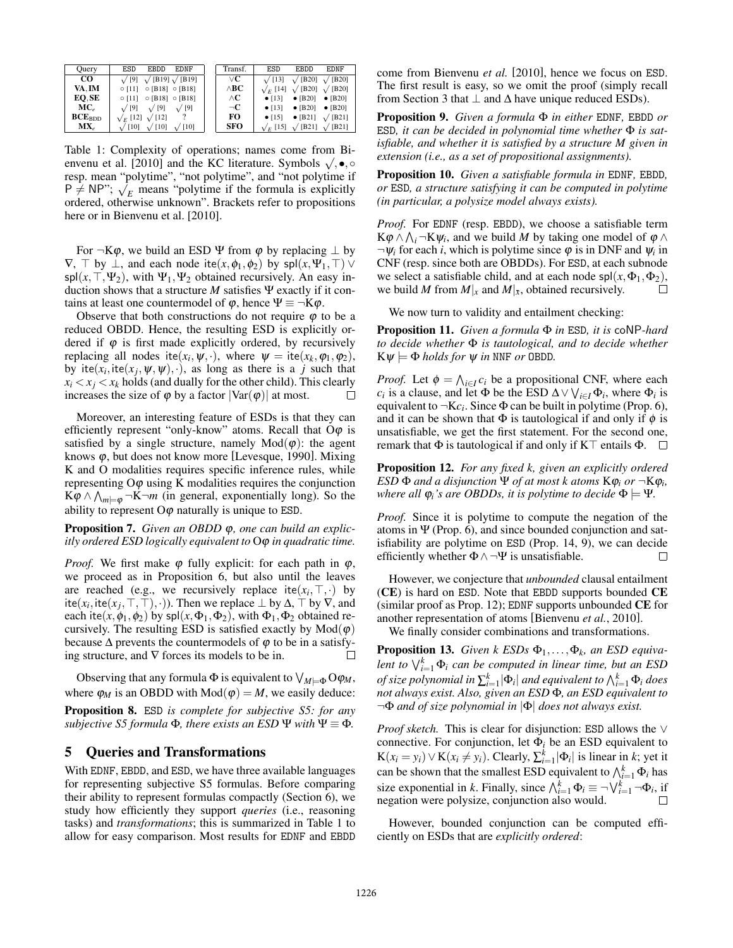| Ouery           | ESD<br><b>EBDD</b><br><b>EDNF</b>         | Transf.          | <b>ESD</b>      | <b>EBDD</b>                                   | <b>EDNF</b>          |
|-----------------|-------------------------------------------|------------------|-----------------|-----------------------------------------------|----------------------|
| $_{\rm CO}$     | $\sqrt{9}$ $\sqrt{[B19]}$ $\sqrt{[B19]}$  | vС               | $\sqrt{13}$     | $\sqrt{ \text{B20} }$ $\sqrt{ \text{B20} }$   |                      |
| VA. IM          | $\circ$ [11] $\circ$ [B18] $\circ$ [B18]  | $\wedge$ BC      | $\sqrt{E}$ [14] | $\sqrt{ \text{B20} }$ $\sqrt{ \text{B20} }$   |                      |
| EO.SE           | $\circ$ [11] $\circ$ [B18] $\circ$ [B18]  | $\wedge {\bf C}$ | $\bullet$ [13]  | • $[B20]$ • $[B20]$                           |                      |
| MC <sub>e</sub> | $\sqrt{9}$<br>$\sqrt{9}$<br>$\sqrt{9}$    | $\neg$ C         | $\bullet$ [13]  | • [B20] • [B20]                               |                      |
| $BCE_{BDD}$     | $\sqrt{F}$ [12] $\sqrt{12}$ ]             | FО               | $\bullet$ [15]  |                                               | • [B21] $\sqrt{B21}$ |
| $MX_e$          | $\sqrt{10}$<br>$\sqrt{10}$<br>$\sqrt{10}$ | <b>SFO</b>       |                 | $\sqrt{E}$ [15] $\sqrt{ B21 }$ $\sqrt{ B21 }$ |                      |

Table 1: Complexity of operations; names come from Bienvenu et al. [2010] and the KC literature. Symbols  $\sqrt{}$ , •,  $\circ$ resp. mean "polytime", "not polytime", and "not polytime if  $P \neq NP$ ";  $\sqrt{E}$  means "polytime if the formula is explicitly ordered, otherwise unknown". Brackets refer to propositions here or in Bienvenu et al. [2010].

For  $\neg K\varphi$ , we build an ESD  $\Psi$  from  $\varphi$  by replacing  $\perp$  by  $\nabla$ ,  $\nabla$  by  $\perp$ , and each node ite(*x*,  $\phi$ <sub>1</sub>, $\phi$ <sub>2</sub>) by spl(*x*,  $\Psi$ <sub>1</sub>,  $\nabla$ )  $\vee$  $\text{spl}(x, \top, \Psi_2)$ , with  $\Psi_1, \Psi_2$  obtained recursively. An easy induction shows that a structure  $M$  satisfies  $\Psi$  exactly if it contains at least one countermodel of  $\varphi$ , hence  $\Psi \equiv \neg K\varphi$ .

Observe that both constructions do not require  $\varphi$  to be a reduced OBDD. Hence, the resulting ESD is explicitly ordered if  $\varphi$  is first made explicitly ordered, by recursively replacing all nodes ite( $x_i$ ,  $\psi$ , ·), where  $\psi =$  ite( $x_k$ ,  $\varphi_1$ ,  $\varphi_2$ ), by ite $(x_i, \text{ite}(x_i, \psi, \psi), \cdot)$ , as long as there is a *j* such that  $x_i < x_j < x_k$  holds (and dually for the other child). This clearly increases the size of  $\omega$  by a factor  $|\nabla a r(\omega)|$  at most increases the size of  $\varphi$  by a factor  $|Var(\varphi)|$  at most.

Moreover, an interesting feature of ESDs is that they can efficiently represent "only-know" atoms. Recall that  $O\varphi$  is satisfied by a single structure, namely  $Mod(\varphi)$ : the agent knows  $\varphi$ , but does not know more [Levesque, 1990]. Mixing K and O modalities requires specific inference rules, while representing  $O\varphi$  using K modalities requires the conjunction  $K\varphi \wedge \bigwedge_{m\neq\varphi} \neg K \neg m$  (in general, exponentially long). So the ability to represent  $O\varphi$  naturally is unique to ESD.

Proposition 7. *Given an OBDD*  $\varphi$ *, one can build an explicitly ordered ESD logically equivalent to*  $O\varphi$  *in quadratic time.* 

*Proof.* We first make  $\varphi$  fully explicit: for each path in  $\varphi$ , we proceed as in Proposition 6, but also until the leaves are reached (e.g., we recursively replace ite $(x_i, \top, \cdot)$  by ite( $x_i$ , ite( $x_j$ ,  $\top$ ,  $\top$ ),  $\cdot$ )). Then we replace  $\bot$  by  $\Delta$ ,  $\top$  by  $\nabla$ , and each ite(*x*,  $\phi_1$ ,  $\phi_2$ ) by spl(*x*,  $\Phi_1$ ,  $\Phi_2$ ), with  $\Phi_1$ ,  $\Phi_2$  obtained recursively. The resulting ESD is satisfied exactly by  $Mod(\varphi)$ because  $\Delta$  prevents the countermodels of  $\varphi$  to be in a satisfying structure, and  $\nabla$  forces its models to be in.  $\Box$ 

Observing that any formula  $\Phi$  is equivalent to  $\bigvee_{M \in \Phi} \Theta \varphi_M$ , where  $\varphi_M$  is an OBDD with Mod( $\varphi$ ) = *M*, we easily deduce:

Proposition 8. ESD *is complete for subjective S5: for any subjective S5 formula*  $\Phi$ *, there exists an ESD*  $\Psi$  *with*  $\Psi \equiv \Phi$ *.* 

#### 5 Queries and Transformations

With EDNF, EBDD, and ESD, we have three available languages for representing subjective S5 formulas. Before comparing their ability to represent formulas compactly (Section 6), we study how efficiently they support *queries* (i.e., reasoning tasks) and *transformations*; this is summarized in Table 1 to allow for easy comparison. Most results for EDNF and EBDD come from Bienvenu *et al.* [2010], hence we focus on ESD. The first result is easy, so we omit the proof (simply recall from Section 3 that  $\perp$  and  $\Delta$  have unique reduced ESDs).

Proposition 9. *Given a formula*  $\Phi$  *in either* EDNF, EBDD *or* ESD, it can be decided in polynomial time whether  $\Phi$  is sat*isfiable, and whether it is satisfied by a structure M given in extension (i.e., as a set of propositional assignments).*

Proposition 10. *Given a satisfiable formula in* EDNF*,* EBDD*, or* ESD*, a structure satisfying it can be computed in polytime (in particular, a polysize model always exists).*

*Proof.* For EDNF (resp. EBDD), we choose a satisfiable term  $K\varphi \wedge \bigwedge_i \neg K\psi_i$ , and we build *M* by taking one model of  $\varphi \wedge$  $\neg \psi_i$  for each *i*, which is polytime since  $\varphi$  is in DNF and  $\psi_i$  in CNF (resp. since both are OBDDs). For ESD, at each subnode we select a satisfiable child, and at each node spl $(x, \Phi_1, \Phi_2)$ , we build M from M|<sub>x</sub> and M|<sub>x</sub>, obtained recursively. we build *M* from  $M|_x$  and  $M|_{\bar{x}}$ , obtained recursively.

We now turn to validity and entailment checking:

Proposition 11. *Given a formula*  $\Phi$  *in* ESD, *it is* coNP-hard *to decide whether*  $\Phi$  *is tautological, and to decide whether*  $K\psi \models \Phi$  *holds for*  $\psi$  *in* NNF *or* OBDD.

*Proof.* Let  $\phi = \bigwedge_{i \in I} c_i$  be a propositional CNF, where each *c<sub>i</sub>* is a clause, and let  $\Phi$  be the ESD  $\Delta \vee \bigvee_{i \in I} \Phi_i$ , where  $\Phi_i$  is equivalent to  $\neg Kc_i$ . Since  $\Phi$  can be built in polytime (Prop. 6), and it can be shown that  $\Phi$  is tautological if and only if  $\phi$  is unsatisfiable, we get the first statement. For the second one, remark that  $\Phi$  is tautological if and only if K $\top$  entails  $\Phi$ .  $\Box$ 

Proposition 12. *For any fixed k, given an explicitly ordered ESD*  $\Phi$  *and a disjunction*  $\Psi$  *of at most k atoms*  $K\varphi_i$  *or*  $\neg K\varphi_i$ *, where all*  $\varphi_i$ *'s are OBDDs, it is polytime to decide*  $\Phi \models \Psi$ *.* 

*Proof.* Since it is polytime to compute the negation of the atoms in  $\Psi$  (Prop. 6), and since bounded conjunction and satisfiability are polytime on ESD (Prop. 14, 9), we can decide efficiently whether  $\Phi \wedge \neg \Psi$  is unsatisfiable.  $\Box$ 

However, we conjecture that *unbounded* clausal entailment (CE) is hard on ESD. Note that EBDD supports bounded CE (similar proof as Prop. 12); EDNF supports unbounded CE for another representation of atoms [Bienvenu *et al.*, 2010].

We finally consider combinations and transformations.

**Proposition 13.** *Given k ESDs*  $\Phi_1, \ldots, \Phi_k$ *, an ESD equivalent to*  $\bigvee_{i=1}^{k} \Phi_i$  *can be computed in linear time, but an ESD of size polynomial in*  $\sum_{i=1}^{k} |\Phi_i|$  *and equivalent to*  $\bigwedge_{i=1}^{k} \Phi_i$  *does not always exist. Also, given an ESD* F*, an ESD equivalent to ¬*F *and of size polynomial in |*F*| does not always exist.*

*Proof sketch.* This is clear for disjunction: ESD allows the  $\vee$ connective. For conjunction, let  $\Phi_i$  be an ESD equivalent to  $K(x_i = y_i) \vee K(x_i \neq y_i)$ . Clearly,  $\sum_{i=1}^{k} |\Phi_i|$  is linear in *k*; yet it can be shown that the smallest ESD equivalent to  $\bigwedge_{i=1}^k \Phi_i$  has size exponential in *k*. Finally, since  $\bigwedge_{i=1}^{k} \Phi_i \equiv \neg \bigvee_{i=1}^{k} \neg \Phi_i$ , if negation were polysize, conjunction also would.

However, bounded conjunction can be computed efficiently on ESDs that are *explicitly ordered*: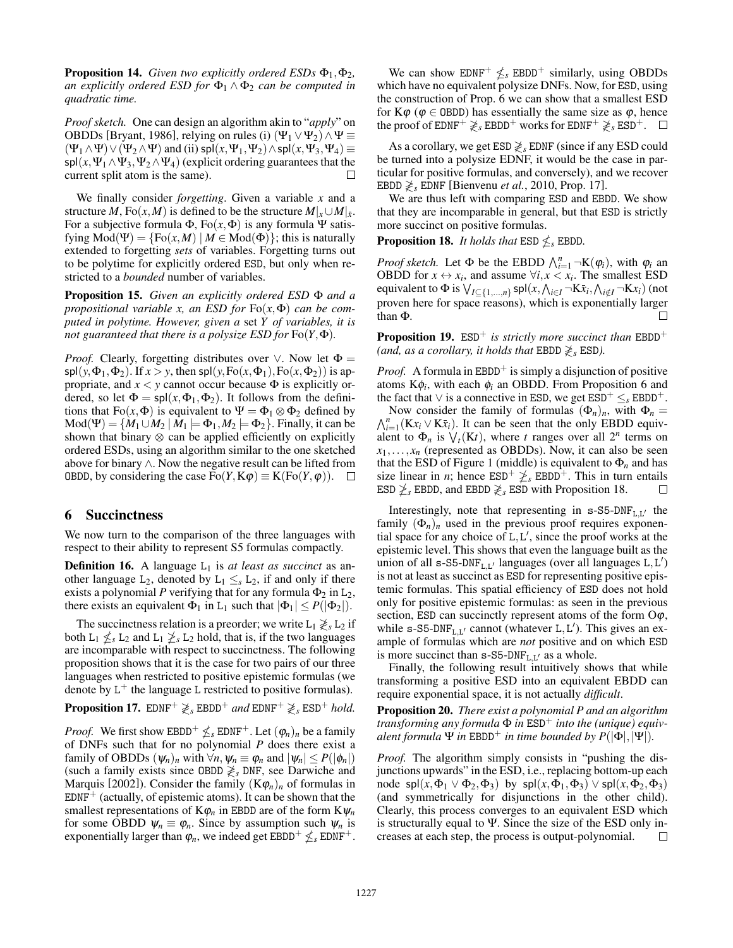**Proposition 14.** *Given two explicitly ordered ESDs*  $\Phi_1, \Phi_2$ *, an explicitly ordered ESD for*  $\Phi_1 \wedge \Phi_2$  *can be computed in quadratic time.*

*Proof sketch.* One can design an algorithm akin to "*apply*" on OBDDs [Bryant, 1986], relying on rules (i)  $(\Psi_1 \vee \Psi_2) \wedge \Psi \equiv$  $(\Psi_1 \wedge \Psi) \vee (\Psi_2 \wedge \Psi)$  and (ii) spl(*x*,  $\Psi_1, \Psi_2 \wedge \Psi_1$  /spl(*x*,  $\Psi_3, \Psi_4$ )  $\equiv$  $\text{spl}(x, \Psi_1 \land \Psi_3, \Psi_2 \land \Psi_4)$  (explicit ordering guarantees that the current split atom is the same). current split atom is the same).

We finally consider *forgetting*. Given a variable *x* and a structure *M*, Fo $(x, M)$  is defined to be the structure  $M|_x \cup M|_{\bar{x}}$ . For a subjective formula  $\Phi$ , Fo(x,  $\Phi$ ) is any formula  $\Psi$  satisfying  $Mod(\Psi) = {Fo(x, M) | M \in Mod(\Phi)}$ ; this is naturally extended to forgetting *sets* of variables. Forgetting turns out to be polytime for explicitly ordered ESD, but only when restricted to a *bounded* number of variables.

Proposition 15. *Given an explicitly ordered ESD*  $\Phi$  *and a propositional variable x, an ESD for*  $Fo(x, \Phi)$  *can be computed in polytime. However, given a* set *Y of variables, it is not guaranteed that there is a polysize ESD for*  $\text{Fo}(Y, \Phi)$ *.* 

*Proof.* Clearly, forgetting distributes over  $\vee$ . Now let  $\Phi =$ spl(y, $\Phi_1$ , $\Phi_2$ ). If  $x > y$ , then spl(y, Fo(x, $\Phi_1$ ), Fo(x, $\Phi_2$ )) is appropriate, and  $x < y$  cannot occur because  $\Phi$  is explicitly ordered, so let  $\Phi = \text{spl}(x, \Phi_1, \Phi_2)$ . It follows from the definitions that Fo $(x, \Phi)$  is equivalent to  $\Psi = \Phi_1 \otimes \Phi_2$  defined by  $Mod(\Psi) = \{M_1 \cup M_2 \mid M_1 \models \Phi_1, M_2 \models \Phi_2\}$ . Finally, it can be shown that binary  $\otimes$  can be applied efficiently on explicitly ordered ESDs, using an algorithm similar to the one sketched above for binary  $\wedge$ . Now the negative result can be lifted from **OBDD, by considering the case**  $Fo(Y, K\varphi) \equiv K(Fo(Y, \varphi))$ **.** 

#### 6 Succinctness

We now turn to the comparison of the three languages with respect to their ability to represent S5 formulas compactly.

**Definition 16.** A language  $L_1$  is *at least as succinct* as another language  $L_2$ , denoted by  $L_1 \leq_s L_2$ , if and only if there exists a polynomial *P* verifying that for any formula  $\Phi_2$  in  $L_2$ , there exists an equivalent  $\Phi_1$  in L<sub>1</sub> such that  $|\Phi_1| \leq P(|\Phi_2|)$ .

The succinctness relation is a preorder; we write  $L_1 \gtrless_S L_2$  if both  $L_1 \nleq_s L_2$  and  $L_1 \nleq_s L_2$  hold, that is, if the two languages are incomparable with respect to succinctness. The following proposition shows that it is the case for two pairs of our three languages when restricted to positive epistemic formulas (we denote by  $L^+$  the language L restricted to positive formulas).

**Proposition 17.** EDNF<sup>+</sup>  $\geq$ <sub>*s*</sub> EBDD<sup>+</sup> *and* EDNF<sup>+</sup>  $\geq$ <sub>*s*</sub> ESD<sup>+</sup> *hold.* 

*Proof.* We first show EBDD<sup>+</sup>  $\leq$ <sub>*s*</sub> EDNF<sup>+</sup>. Let  $(\varphi_n)_n$  be a family of DNFs such that for no polynomial *P* does there exist a family of OBDDs  $(\psi_n)_n$  with  $\forall n, \psi_n \equiv \varphi_n$  and  $|\psi_n| \leq P(|\phi_n|)$ (such a family exists since OBDD  $\geq s$  DNF, see Darwiche and Marquis [2002]). Consider the family  $(K\varphi_n)_n$  of formulas in  $EDNF<sup>+</sup>$  (actually, of epistemic atoms). It can be shown that the smallest representations of  $K\varphi_n$  in EBDD are of the form  $K\psi_n$ for some OBDD  $\psi_n \equiv \varphi_n$ . Since by assumption such  $\psi_n$  is exponentially larger than  $\varphi_n$ , we indeed get EBDD<sup>+</sup>  $\leq$ <sub>s</sub> EDNF<sup>+</sup>.

We can show EDNF<sup>+</sup>  $\leq$ <sub>s</sub> EBDD<sup>+</sup> similarly, using OBDDs which have no equivalent polysize DNFs. Now, for ESD, using the construction of Prop. 6 we can show that a smallest ESD for  $K\varphi$  ( $\varphi \in$  OBDD) has essentially the same size as  $\varphi$ , hence the proof of EDNF<sup>+</sup>  $\gtrless$ <sub>*s*</sub> EBDD<sup>+</sup> works for EDNF<sup>+</sup>  $\gtrless$ <sub>*s*</sub> ESD<sup>+</sup>.  $\Box$ 

As a corollary, we get  $ESD \not\geq s$  EDNF (since if any ESD could be turned into a polysize EDNF, it would be the case in particular for positive formulas, and conversely), and we recover EBDD  $\geq$ <sub>s</sub> EDNF [Bienvenu *et al.*, 2010, Prop. 17].

We are thus left with comparing ESD and EBDD. We show that they are incomparable in general, but that ESD is strictly more succinct on positive formulas.

**Proposition 18.** *It holds that*  $ESD \nleq_S EBDD$ .

*Proof sketch.* Let  $\Phi$  be the EBDD  $\bigwedge_{i=1}^{n} \neg K(\varphi_i)$ , with  $\varphi_i$  and OBDD for  $x \leftrightarrow x_i$ , and assume  $\forall i, x < x_i$ . The smallest ESD equivalent to  $\Phi$  is  $\bigvee_{I \subseteq \{1,\ldots,n\}} \text{spl}(x, \bigwedge_{i \in I} \neg K\bar{x}_i, \bigwedge_{i \notin I} \neg Kx_i)$  (not proven here for space reasons), which is exponentially larger than  $\Phi$  $\Box$ 

**Proposition 19.** ESD<sup>+</sup> *is strictly more succinct than* EBDD<sup>+</sup> *(and, as a corollary, it holds that* EBDD  $\geq$ <sub>*s*</sub> ESD*)*.

*Proof.* A formula in EBDD<sup>+</sup> is simply a disjunction of positive atoms  $K\phi_i$ , with each  $\phi_i$  an OBDD. From Proposition 6 and the fact that  $\vee$  is a connective in ESD, we get  $ESD^+ \leq_s EBDD^+$ .

Now consider the family of formulas  $(\Phi_n)_n$ , with  $\Phi_n =$  $\bigwedge_{i=1}^{n} (Kx_i \vee K\overline{x}_i)$ . It can be seen that the only EBDD equivalent to  $\Phi_n$  is  $\bigvee_t (Kt)$ , where *t* ranges over all  $2^n$  terms on  $x_1, \ldots, x_n$  (represented as OBDDs). Now, it can also be seen that the ESD of Figure 1 (middle) is equivalent to  $\Phi_n$  and has size linear in *n*; hence  $ESD^+ \geq_s EBDD^+$ . This in turn entails ESD  $\geq$ <sub>s</sub> EBDD, and EBDD  $\geq$ <sub>s</sub> ESD with Proposition 18.  $\Box$ 

Interestingly, note that representing in  $s$ -S5-DNF<sub>L,L<sup>1</sup></sub> the family  $(\Phi_n)_n$  used in the previous proof requires exponential space for any choice of  $L, L'$ , since the proof works at the epistemic level. This shows that even the language built as the union of all s-S5-DNF<sub>L,L'</sub> languages (over all languages L,L<sup>'</sup>) is not at least as succinct as ESD for representing positive epistemic formulas. This spatial efficiency of ESD does not hold only for positive epistemic formulas: as seen in the previous section, ESD can succinctly represent atoms of the form  $\mathcal{O}\varphi$ , while s-S5-DNF<sub>L,L'</sub> cannot (whatever L,L<sup>'</sup>). This gives an example of formulas which are *not* positive and on which ESD is more succinct than  $s$ -S5-DNF<sub>L,L'</sub> as a whole.

Finally, the following result intuitively shows that while transforming a positive ESD into an equivalent EBDD can require exponential space, it is not actually *difficult*.

Proposition 20. *There exist a polynomial P and an algorithm transforming any formula*  $\Phi$  *in* ESD<sup>+</sup> *into the (unique) equivalent formula*  $\Psi$  *in* EBDD<sup>+</sup> *in time bounded by P*( $|\Phi|$ *,* $|\Psi|$ *)*.

*Proof.* The algorithm simply consists in "pushing the disjunctions upwards" in the ESD, i.e., replacing bottom-up each node  $\text{spl}(x, \Phi_1 \vee \Phi_2, \Phi_3)$  by  $\text{spl}(x, \Phi_1, \Phi_3) \vee \text{spl}(x, \Phi_2, \Phi_3)$ (and symmetrically for disjunctions in the other child). Clearly, this process converges to an equivalent ESD which is structurally equal to  $\Psi$ . Since the size of the ESD only increases at each step, the process is output-polynomial. П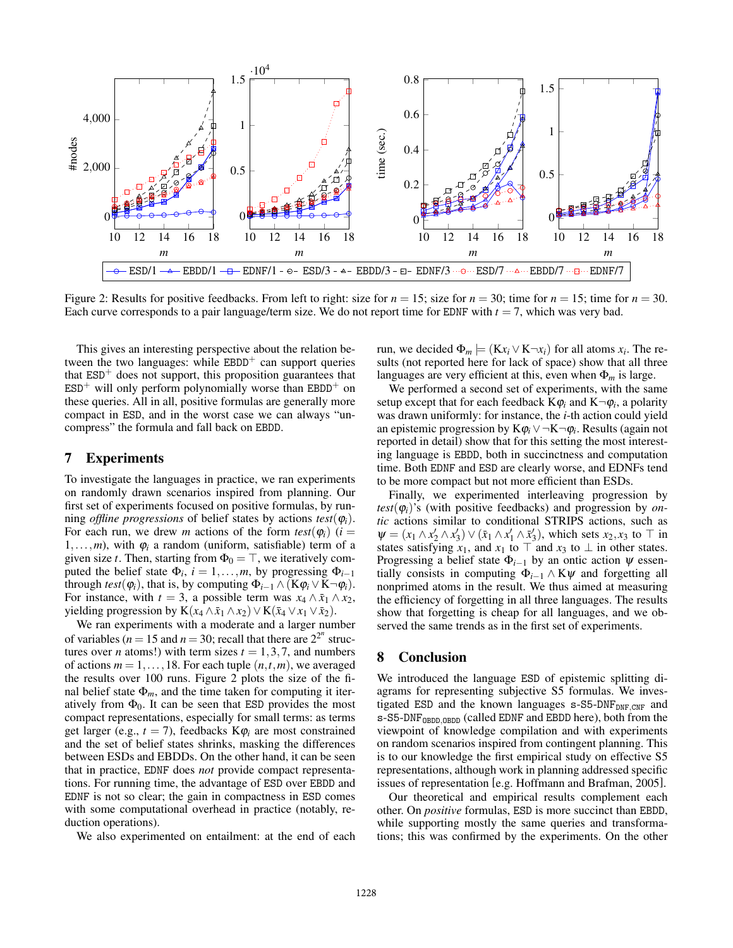

Figure 2: Results for positive feedbacks. From left to right: size for  $n = 15$ ; size for  $n = 30$ ; time for  $n = 15$ ; time for  $n = 30$ . Each curve corresponds to a pair language/term size. We do not report time for EDNF with  $t = 7$ , which was very bad.

This gives an interesting perspective about the relation between the two languages: while  $EBDD<sup>+</sup>$  can support queries that  $ESD<sup>+</sup>$  does not support, this proposition guarantees that  $ESD^+$  will only perform polynomially worse than  $EBDD^+$  on these queries. All in all, positive formulas are generally more compact in ESD, and in the worst case we can always "uncompress" the formula and fall back on EBDD.

#### 7 Experiments

To investigate the languages in practice, we ran experiments on randomly drawn scenarios inspired from planning. Our first set of experiments focused on positive formulas, by running *offline progressions* of belief states by actions  $test(\varphi_i)$ . For each run, we drew *m* actions of the form  $test(\varphi_i)$  (*i* =  $1, \ldots, m$ , with  $\varphi_i$  a random (uniform, satisfiable) term of a given size *t*. Then, starting from  $\Phi_0 = \top$ , we iteratively computed the belief state  $\Phi_i$ ,  $i = 1, \ldots, m$ , by progressing  $\Phi_{i-1}$ through *test*( $\varphi_i$ ), that is, by computing  $\Phi_{i-1} \wedge (K\varphi_i \vee K \neg \varphi_i)$ . For instance, with  $t = 3$ , a possible term was  $x_4 \wedge \bar{x}_1 \wedge x_2$ , yielding progression by  $K(x_4 \wedge \bar{x}_1 \wedge x_2) \vee K(\bar{x}_4 \vee x_1 \vee \bar{x}_2).$ 

We ran experiments with a moderate and a larger number of variables ( $n = 15$  and  $n = 30$ ; recall that there are  $2^{2^n}$  structures over *n* atoms!) with term sizes  $t = 1, 3, 7$ , and numbers of actions  $m = 1, \ldots, 18$ . For each tuple  $(n, t, m)$ , we averaged the results over 100 runs. Figure 2 plots the size of the final belief state  $\Phi_m$ , and the time taken for computing it iteratively from  $\Phi_0$ . It can be seen that ESD provides the most compact representations, especially for small terms: as terms get larger (e.g.,  $t = 7$ ), feedbacks  $K\varphi_i$  are most constrained and the set of belief states shrinks, masking the differences between ESDs and EBDDs. On the other hand, it can be seen that in practice, EDNF does *not* provide compact representations. For running time, the advantage of ESD over EBDD and EDNF is not so clear; the gain in compactness in ESD comes with some computational overhead in practice (notably, reduction operations).

We also experimented on entailment: at the end of each

run, we decided  $\Phi_m$   $\models$  ( $Kx_i \vee K\neg x_i$ ) for all atoms  $x_i$ . The results (not reported here for lack of space) show that all three languages are very efficient at this, even when  $\Phi_m$  is large.

We performed a second set of experiments, with the same setup except that for each feedback  $K\varphi_i$  and  $K\neg \varphi_i$ , a polarity was drawn uniformly: for instance, the *i*-th action could yield an epistemic progression by  $K\varphi_i \vee \neg K \neg \varphi_i$ . Results (again not reported in detail) show that for this setting the most interesting language is EBDD, both in succinctness and computation time. Both EDNF and ESD are clearly worse, and EDNFs tend to be more compact but not more efficient than ESDs.

Finally, we experimented interleaving progression by  $test(\varphi_i)$ 's (with positive feedbacks) and progression by *ontic* actions similar to conditional STRIPS actions, such as  $\Psi = (x_1 \wedge x_2' \wedge x_3') \vee (\bar{x}_1 \wedge x_1' \wedge \bar{x}_3')$ , which sets  $x_2, x_3$  to  $\top$  in states satisfying  $x_1$ , and  $x_1$  to  $\top$  and  $x_3$  to  $\bot$  in other states. Progressing a belief state  $\Phi_{i-1}$  by an ontic action  $\psi$  essentially consists in computing  $\Phi_{i-1} \wedge K\psi$  and forgetting all nonprimed atoms in the result. We thus aimed at measuring the efficiency of forgetting in all three languages. The results show that forgetting is cheap for all languages, and we observed the same trends as in the first set of experiments.

## 8 Conclusion

We introduced the language ESD of epistemic splitting diagrams for representing subjective S5 formulas. We investigated ESD and the known languages s-S5-DNF<sub>DNF</sub>, cnF and s-S5-DNF<sub>OBDD</sub>, OBDD<sub></sub> (called EDNF and EBDD here), both from the viewpoint of knowledge compilation and with experiments on random scenarios inspired from contingent planning. This is to our knowledge the first empirical study on effective S5 representations, although work in planning addressed specific issues of representation [e.g. Hoffmann and Brafman, 2005].

Our theoretical and empirical results complement each other. On *positive* formulas, ESD is more succinct than EBDD, while supporting mostly the same queries and transformations; this was confirmed by the experiments. On the other